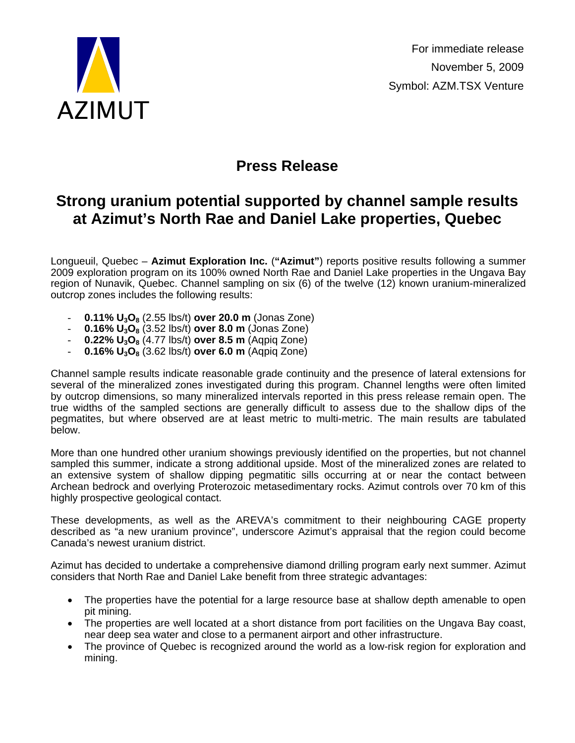

## **Press Release**

## **Strong uranium potential supported by channel sample results at Azimut's North Rae and Daniel Lake properties, Quebec**

Longueuil, Quebec – **Azimut Exploration Inc.** (**"Azimut"**) reports positive results following a summer 2009 exploration program on its 100% owned North Rae and Daniel Lake properties in the Ungava Bay region of Nunavik, Quebec. Channel sampling on six (6) of the twelve (12) known uranium-mineralized outcrop zones includes the following results:

- **0.11% U3O8** (2.55 lbs/t) **over 20.0 m** (Jonas Zone)
- **0.16% U3O8** (3.52 lbs/t) **over 8.0 m** (Jonas Zone)
- **0.22% U3O8** (4.77 lbs/t) **over 8.5 m** (Aqpiq Zone)
- **0.16% U3O8** (3.62 lbs/t) **over 6.0 m** (Aqpiq Zone)

Channel sample results indicate reasonable grade continuity and the presence of lateral extensions for several of the mineralized zones investigated during this program. Channel lengths were often limited by outcrop dimensions, so many mineralized intervals reported in this press release remain open. The true widths of the sampled sections are generally difficult to assess due to the shallow dips of the pegmatites, but where observed are at least metric to multi-metric. The main results are tabulated below.

More than one hundred other uranium showings previously identified on the properties, but not channel sampled this summer, indicate a strong additional upside. Most of the mineralized zones are related to an extensive system of shallow dipping pegmatitic sills occurring at or near the contact between Archean bedrock and overlying Proterozoic metasedimentary rocks. Azimut controls over 70 km of this highly prospective geological contact.

These developments, as well as the AREVA's commitment to their neighbouring CAGE property described as "a new uranium province", underscore Azimut's appraisal that the region could become Canada's newest uranium district.

Azimut has decided to undertake a comprehensive diamond drilling program early next summer. Azimut considers that North Rae and Daniel Lake benefit from three strategic advantages:

- The properties have the potential for a large resource base at shallow depth amenable to open pit mining.
- The properties are well located at a short distance from port facilities on the Ungava Bay coast, near deep sea water and close to a permanent airport and other infrastructure.
- The province of Quebec is recognized around the world as a low-risk region for exploration and mining.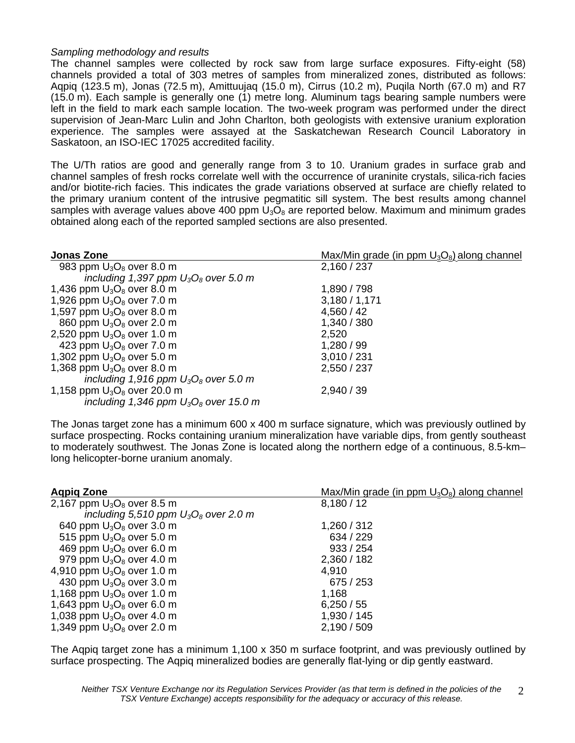## *Sampling methodology and results*

The channel samples were collected by rock saw from large surface exposures. Fifty-eight (58) channels provided a total of 303 metres of samples from mineralized zones, distributed as follows: Aqpiq (123.5 m), Jonas (72.5 m), Amittuujaq (15.0 m), Cirrus (10.2 m), Puqila North (67.0 m) and R7 (15.0 m). Each sample is generally one (1) metre long. Aluminum tags bearing sample numbers were left in the field to mark each sample location. The two-week program was performed under the direct supervision of Jean-Marc Lulin and John Charlton, both geologists with extensive uranium exploration experience. The samples were assayed at the Saskatchewan Research Council Laboratory in Saskatoon, an ISO-IEC 17025 accredited facility.

The U/Th ratios are good and generally range from 3 to 10. Uranium grades in surface grab and channel samples of fresh rocks correlate well with the occurrence of uraninite crystals, silica-rich facies and/or biotite-rich facies. This indicates the grade variations observed at surface are chiefly related to the primary uranium content of the intrusive pegmatitic sill system. The best results among channel samples with average values above 400 ppm  $U_3O_8$  are reported below. Maximum and minimum grades obtained along each of the reported sampled sections are also presented.

| <b>Jonas Zone</b>                        | $Max/Min$ grade (in ppm $U_3O_8$ ) along channel |
|------------------------------------------|--------------------------------------------------|
| 983 ppm $U_3O_8$ over 8.0 m              | 2,160 / 237                                      |
| including 1,397 ppm $U_3O_8$ over 5.0 m  |                                                  |
| 1,436 ppm $U_3O_8$ over 8.0 m            | 1,890 / 798                                      |
| 1,926 ppm $U_3O_8$ over 7.0 m            | 3,180/1,171                                      |
| 1,597 ppm $U_3O_8$ over 8.0 m            | 4,560/42                                         |
| 860 ppm $U_3O_8$ over 2.0 m              | 1,340 / 380                                      |
| 2,520 ppm $U_3O_8$ over 1.0 m            | 2,520                                            |
| 423 ppm $U_3O_8$ over 7.0 m              | 1,280 / 99                                       |
| 1,302 ppm $U_3O_8$ over 5.0 m            | 3,010/231                                        |
| 1,368 ppm $U_3O_8$ over 8.0 m            | 2,550 / 237                                      |
| including 1,916 ppm $U_3O_8$ over 5.0 m  |                                                  |
| 1,158 ppm $U_3O_8$ over 20.0 m           | 2,940/39                                         |
| including 1,346 ppm $U_3O_8$ over 15.0 m |                                                  |

The Jonas target zone has a minimum 600 x 400 m surface signature, which was previously outlined by surface prospecting. Rocks containing uranium mineralization have variable dips, from gently southeast to moderately southwest. The Jonas Zone is located along the northern edge of a continuous, 8.5-km– long helicopter-borne uranium anomaly.

| <b>Agpig Zone</b>                       | $Max/Min$ grade (in ppm $U_3O_8$ ) along channel |
|-----------------------------------------|--------------------------------------------------|
| 2,167 ppm $U_3O_8$ over 8.5 m           | 8,180/12                                         |
| including 5,510 ppm $U_3O_8$ over 2.0 m |                                                  |
| 640 ppm $U_3O_8$ over 3.0 m             | 1,260 / 312                                      |
| 515 ppm $U_3O_8$ over 5.0 m             | 634 / 229                                        |
| 469 ppm $U_3O_8$ over 6.0 m             | 933 / 254                                        |
| 979 ppm $U_3O_8$ over 4.0 m             | 2,360 / 182                                      |
| 4,910 ppm $U_3O_8$ over 1.0 m           | 4,910                                            |
| 430 ppm $U_3O_8$ over 3.0 m             | 675 / 253                                        |
| 1,168 ppm $U_3O_8$ over 1.0 m           | 1,168                                            |
| 1,643 ppm $U_3O_8$ over 6.0 m           | 6,250/55                                         |
| 1,038 ppm $U_3O_8$ over 4.0 m           | 1,930 / 145                                      |
| 1,349 ppm $U_3O_8$ over 2.0 m           | 2,190 / 509                                      |

The Aqpiq target zone has a minimum 1,100 x 350 m surface footprint, and was previously outlined by surface prospecting. The Aqpiq mineralized bodies are generally flat-lying or dip gently eastward.